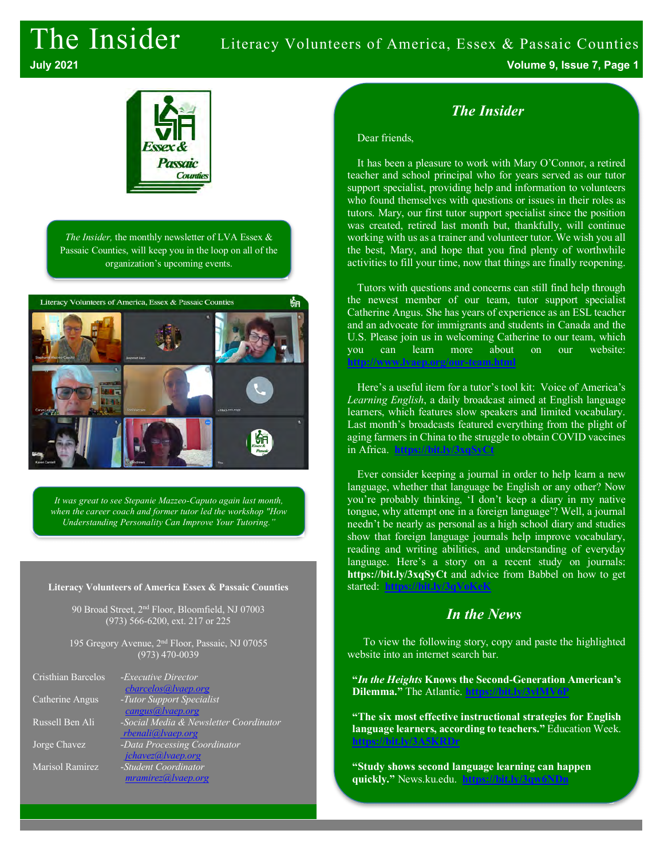# The Insider Literacy Volunteers of America, Essex & Passaic Counties



*The Insider,* the monthly newsletter of LVA Essex & Passaic Counties, will keep you in the loop on all of the organization's upcoming events.



*It was great to see Stepanie Mazzeo-Caputo again last month, when the career coach and former tutor led the workshop "How Understanding Personality Can Improve Your Tutoring."*

#### **Literacy Volunteers of America Essex & Passaic Counties**

90 Broad Street, 2nd Floor, Bloomfield, NJ 07003 (973) 566-6200, ext. 217 or 225

195 Gregory Avenue, 2<sup>nd</sup> Floor, Passaic, NJ 07055 (973) 470-0039

| Cristhian Barcelos | - <i>Executive Director</i>            |
|--------------------|----------------------------------------|
|                    | cbarcelos@lvaep.org                    |
| Catherine Angus    | -Tutor Support Specialist              |
|                    | cangus@lvaep.org                       |
| Russell Ben Ali    | -Social Media & Newsletter Coordinator |
|                    | rbenali@lvaep.org                      |
| Jorge Chavez       | -Data Processing Coordinator           |
|                    | jchavez@lvaep.org                      |
| Marisol Ramirez    | -Student Coordinator                   |
|                    | mramirez@ vaep.org                     |
|                    |                                        |

**July 2021 Volume 9, Issue 7, Page 1**

# *The Insider*

#### Dear friends,

It has been a pleasure to work with Mary O'Connor, a retired teacher and school principal who for years served as our tutor support specialist, providing help and information to volunteers who found themselves with questions or issues in their roles as tutors. Mary, our first tutor support specialist since the position was created, retired last month but, thankfully, will continue working with us as a trainer and volunteer tutor. We wish you all the best, Mary, and hope that you find plenty of worthwhile activities to fill your time, now that things are finally reopening.

Tutors with questions and concerns can still find help through the newest member of our team, tutor support specialist Catherine Angus. She has years of experience as an ESL teacher and an advocate for immigrants and students in Canada and the U.S. Please join us in welcoming Catherine to our team, which you can learn more about on our website: **http://www.lvaep.org/our-team.html**

Here's a useful item for a tutor's tool kit: Voice of America's *Learning English*, a daily broadcast aimed at English language learners, which features slow speakers and limited vocabulary. Last month's broadcasts featured everything from the plight of aging farmers in China to the struggle to obtain COVID vaccines in Africa. **https://bit.ly/3xqSyCt**

Ever consider keeping a journal in order to help learn a new language, whether that language be English or any other? Now you're probably thinking, 'I don't keep a diary in my native tongue, why attempt one in a foreign language'? Well, a journal needn't be nearly as personal as a high school diary and studies show that foreign language journals help improve vocabulary, reading and writing abilities, and understanding of everyday language. Here's a story on a recent study on journals: **https://bit.ly/3xqSyCt** and advice from Babbel on how to get started: **https://hi** 

### *In the News*

To view the following story, copy and paste the highlighted website into an internet search bar.

**"***In the Heights* **Knows the Second-Generation American's Dilemma."** The Atlantic. **https://bit.ly/3vlMV6P**

**"The six most effective instructional strategies for English language learners, according to teachers."** Education Week. **https://bit.ly/3A5KRDr**

**"Study shows second language learning can happen quickly."** News.ku.edu. **https://bit.ly/3qw6NDn**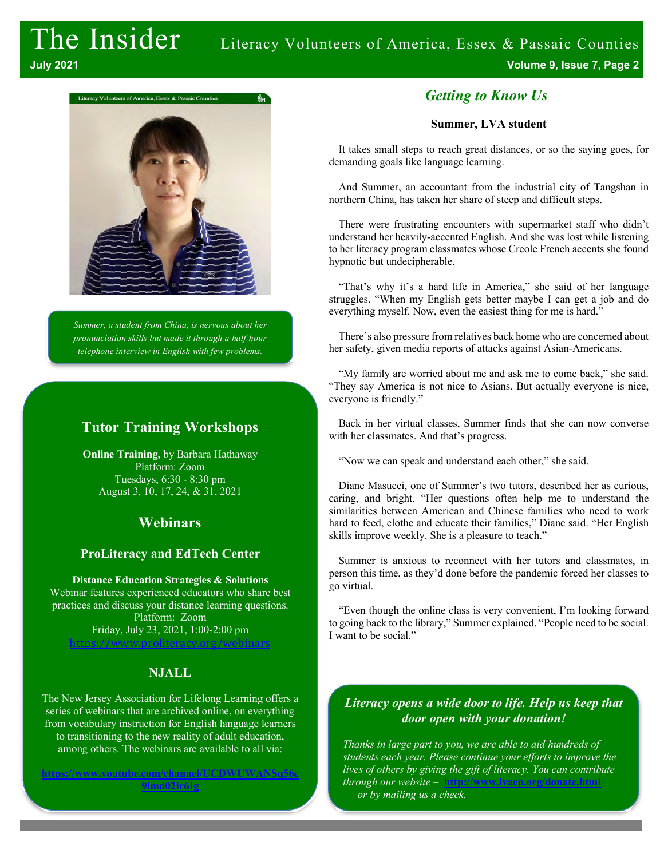

*Summer, a student from China, is nervous about her pronunciation skills but made it through a half-hour telephone interview in English with few problems.* 

### **Tutor Training Workshops**

**Online Training,** by Barbara Hathaway Platform: Zoom Tuesdays, 6:30 - 8:30 pm August 3, 10, 17, 24, & 31, 2021

## **Webinars**

#### **ProLiteracy and EdTech Center**

**Distance Education Strategies & Solutions** Webinar features experienced educators who share best practices and discuss your distance learning questions. Platform: Zoom Friday, July 23, 2021, 1:00-2:00 pm https://www.proliteracy.org/webinars

#### **NJALL**

The New Jersey Association for Lifelong Learning offers a series of webinars that are archived online, on everything from vocabulary instruction for English language learners to transitioning to the new reality of adult education, among others. The webinars are available to all via:

**https://www.youtube.com/channel/UCDWUWANSq56c 9lmd02ir6Ig**

#### *Getting to Know Us*

#### **Summer, LVA student**

It takes small steps to reach great distances, or so the saying goes, for demanding goals like language learning.

And Summer, an accountant from the industrial city of Tangshan in northern China, has taken her share of steep and difficult steps.

There were frustrating encounters with supermarket staff who didn't understand her heavily-accented English. And she was lost while listening to her literacy program classmates whose Creole French accents she found hypnotic but undecipherable.

"That's why it's a hard life in America," she said of her language struggles. "When my English gets better maybe I can get a job and do everything myself. Now, even the easiest thing for me is hard."

There's also pressure from relatives back home who are concerned about her safety, given media reports of attacks against Asian-Americans.

"My family are worried about me and ask me to come back," she said. "They say America is not nice to Asians. But actually everyone is nice, everyone is friendly."

Back in her virtual classes, Summer finds that she can now converse with her classmates. And that's progress.

"Now we can speak and understand each other," she said.

Diane Masucci, one of Summer's two tutors, described her as curious, caring, and bright. "Her questions often help me to understand the similarities between American and Chinese families who need to work hard to feed, clothe and educate their families," Diane said. "Her English skills improve weekly. She is a pleasure to teach."

Summer is anxious to reconnect with her tutors and classmates, in person this time, as they'd done before the pandemic forced her classes to go virtual.

"Even though the online class is very convenient, I'm looking forward to going back to the library," Summer explained. "People need to be social. I want to be social."

#### *Literacy opens a wide door to life. Help us keep that door open with your donation!*

*Thanks in large part to you, we are able to aid hundreds of students each year. Please continue your efforts to improve the lives of others by giving the gift of literacy. You can contribute through our website* – **http://www.lvaep.org/donate.html** *or by mailing us a check.*